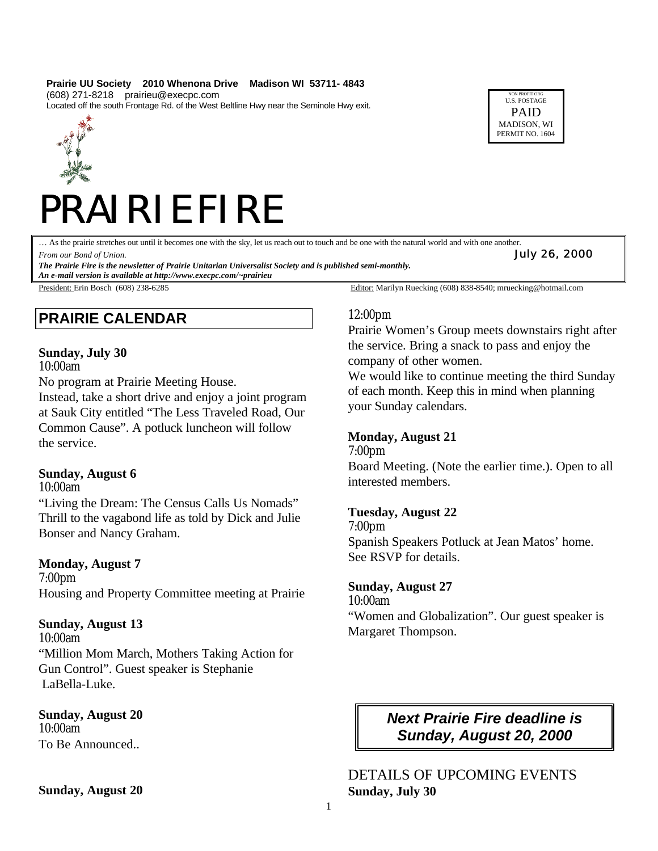#### **Prairie UU Society 2010 Whenona Drive Madison WI 53711- 4843** (608) 271-8218 prairieu@execpc.com

Located off the south Frontage Rd. of the West Beltline Hwy near the Seminole Hwy exit.



# PRAIRIE FIRE

… As the prairie stretches out until it becomes one with the sky, let us reach out to touch and be one with the natural world and with one another.

*From our Bond of Union. July 26, 2000*

*The Prairie Fire is the newsletter of Prairie Unitarian Universalist Society and is published semi-monthly.*

*An e-mail version is available at http://www.execpc.com/~prairieu*

# **PRAIRIE CALENDAR**

#### **Sunday, July 30**

10:00am

No program at Prairie Meeting House.

Instead, take a short drive and enjoy a joint program at Sauk City entitled "The Less Traveled Road, Our Common Cause". A potluck luncheon will follow the service.

#### **Sunday, August 6**

10:00am

"Living the Dream: The Census Calls Us Nomads" Thrill to the vagabond life as told by Dick and Julie Bonser and Nancy Graham.

# **Monday, August 7**

7:00pm Housing and Property Committee meeting at Prairie

# **Sunday, August 13**

10:00am "Million Mom March, Mothers Taking Action for Gun Control". Guest speaker is Stephanie LaBella-Luke.

**Sunday, August 20**  10:00am To Be Announced..

**Sunday, August 20**

President: Erin Bosch (608) 238-6285 **Editor:** Marilyn Ruecking (608) 838-8540; mruecking @hotmail.com

# 12:00pm

Prairie Women's Group meets downstairs right after the service. Bring a snack to pass and enjoy the company of other women.

NON PROFIT ORG U.S. POSTAGE PAID MADISON, WI PERMIT NO. 1604

We would like to continue meeting the third Sunday of each month. Keep this in mind when planning your Sunday calendars.

# **Monday, August 21**

7:00pm Board Meeting. (Note the earlier time.). Open to all interested members.

# **Tuesday, August 22**

7:00pm Spanish Speakers Potluck at Jean Matos' home. See RSVP for details.

# **Sunday, August 27**

10:00am "Women and Globalization". Our guest speaker is Margaret Thompson.

# *Next Prairie Fire deadline is Sunday, August 20, 2000*

DETAILS OF UPCOMING EVENTS **Sunday, July 30**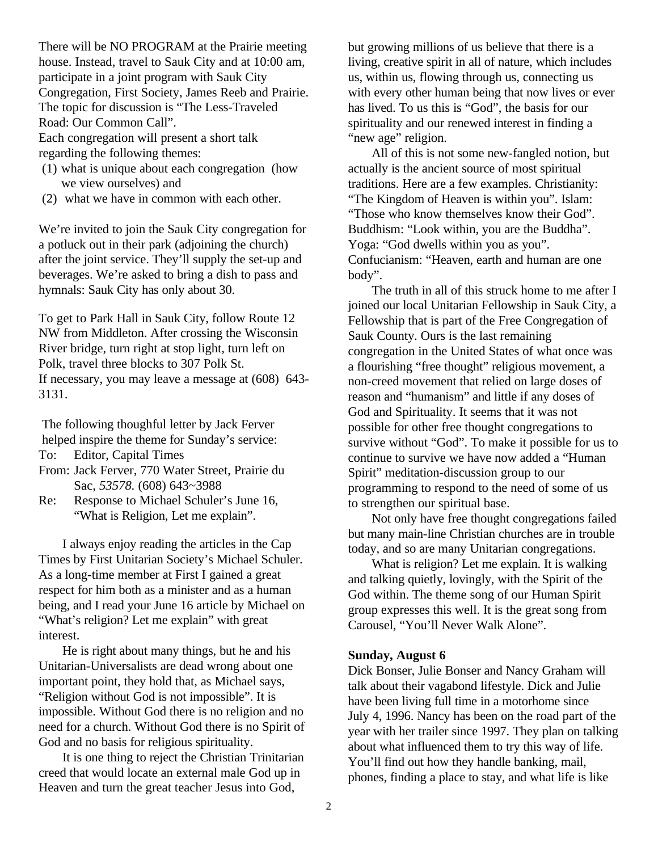There will be NO PROGRAM at the Prairie meeting house. Instead, travel to Sauk City and at 10:00 am, participate in a joint program with Sauk City Congregation, First Society, James Reeb and Prairie. The topic for discussion is "The Less-Traveled Road: Our Common Call".

Each congregation will present a short talk regarding the following themes:

- (1) what is unique about each congregation (how we view ourselves) and
- (2) what we have in common with each other.

We're invited to join the Sauk City congregation for a potluck out in their park (adjoining the church) after the joint service. They'll supply the set-up and beverages. We're asked to bring a dish to pass and hymnals: Sauk City has only about 30.

To get to Park Hall in Sauk City, follow Route 12 NW from Middleton. After crossing the Wisconsin River bridge, turn right at stop light, turn left on Polk, travel three blocks to 307 Polk St. If necessary, you may leave a message at (608) 643- 3131.

The following thoughful letter by Jack Ferver helped inspire the theme for Sunday's service:

- To: Editor, Capital Times
- From: Jack Ferver, 770 Water Street, Prairie du Sac, *53578.* (608) 643~3988
- Re: Response to Michael Schuler's June 16, "What is Religion, Let me explain".

I always enjoy reading the articles in the Cap Times by First Unitarian Society's Michael Schuler. As a long-time member at First I gained a great respect for him both as a minister and as a human being, and I read your June 16 article by Michael on "What's religion? Let me explain" with great interest.

He is right about many things, but he and his Unitarian-Universalists are dead wrong about one important point, they hold that, as Michael says, "Religion without God is not impossible". It is impossible. Without God there is no religion and no need for a church. Without God there is no Spirit of God and no basis for religious spirituality.

It is one thing to reject the Christian Trinitarian creed that would locate an external male God up in Heaven and turn the great teacher Jesus into God,

but growing millions of us believe that there is a living, creative spirit in all of nature, which includes us, within us, flowing through us, connecting us with every other human being that now lives or ever has lived. To us this is "God", the basis for our spirituality and our renewed interest in finding a "new age" religion.

All of this is not some new-fangled notion, but actually is the ancient source of most spiritual traditions. Here are a few examples. Christianity: "The Kingdom of Heaven is within you". Islam: "Those who know themselves know their God". Buddhism: "Look within, you are the Buddha". Yoga: "God dwells within you as you". Confucianism: "Heaven, earth and human are one body".

The truth in all of this struck home to me after I joined our local Unitarian Fellowship in Sauk City, a Fellowship that is part of the Free Congregation of Sauk County. Ours is the last remaining congregation in the United States of what once was a flourishing "free thought" religious movement, a non-creed movement that relied on large doses of reason and "humanism" and little if any doses of God and Spirituality. It seems that it was not possible for other free thought congregations to survive without "God". To make it possible for us to continue to survive we have now added a "Human Spirit" meditation-discussion group to our programming to respond to the need of some of us to strengthen our spiritual base.

Not only have free thought congregations failed but many main-line Christian churches are in trouble today, and so are many Unitarian congregations.

What is religion? Let me explain. It is walking and talking quietly, lovingly, with the Spirit of the God within. The theme song of our Human Spirit group expresses this well. It is the great song from Carousel, "You'll Never Walk Alone".

# **Sunday, August 6**

Dick Bonser, Julie Bonser and Nancy Graham will talk about their vagabond lifestyle. Dick and Julie have been living full time in a motorhome since July 4, 1996. Nancy has been on the road part of the year with her trailer since 1997. They plan on talking about what influenced them to try this way of life. You'll find out how they handle banking, mail, phones, finding a place to stay, and what life is like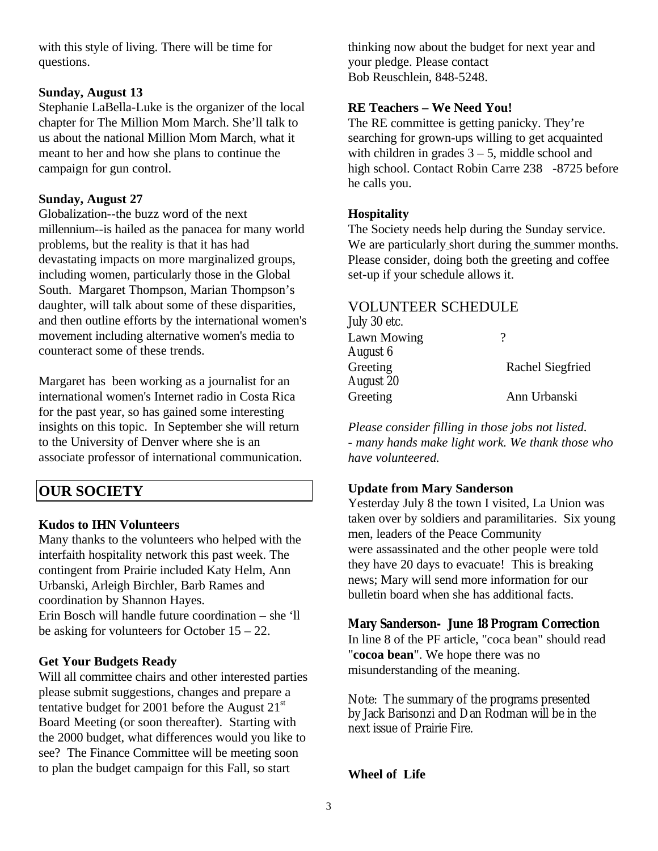with this style of living. There will be time for questions.

### **Sunday, August 13**

Stephanie LaBella-Luke is the organizer of the local chapter for The Million Mom March. She'll talk to us about the national Million Mom March, what it meant to her and how she plans to continue the campaign for gun control.

#### **Sunday, August 27**

Globalization--the buzz word of the next millennium--is hailed as the panacea for many world problems, but the reality is that it has had devastating impacts on more marginalized groups, including women, particularly those in the Global South. Margaret Thompson, Marian Thompson's daughter, will talk about some of these disparities, and then outline efforts by the international women's movement including alternative women's media to counteract some of these trends.

Margaret has been working as a journalist for an international women's Internet radio in Costa Rica for the past year, so has gained some interesting insights on this topic. In September she will return to the University of Denver where she is an associate professor of international communication.

# **OUR SOCIETY**

#### **Kudos to IHN Volunteers**

Many thanks to the volunteers who helped with the interfaith hospitality network this past week. The contingent from Prairie included Katy Helm, Ann Urbanski, Arleigh Birchler, Barb Rames and coordination by Shannon Hayes. Erin Bosch will handle future coordination – she 'll be asking for volunteers for October 15 – 22.

#### **Get Your Budgets Ready**

Will all committee chairs and other interested parties please submit suggestions, changes and prepare a tentative budget for 2001 before the August  $21<sup>st</sup>$ Board Meeting (or soon thereafter). Starting with the 2000 budget, what differences would you like to see? The Finance Committee will be meeting soon to plan the budget campaign for this Fall, so start

thinking now about the budget for next year and your pledge. Please contact Bob Reuschlein, 848-5248.

#### **RE Teachers – We Need You!**

The RE committee is getting panicky. They're searching for grown-ups willing to get acquainted with children in grades  $3 - 5$ , middle school and high school. Contact Robin Carre 238 -8725 before he calls you.

#### **Hospitality**

The Society needs help during the Sunday service. We are particularly short during the summer months. Please consider, doing both the greeting and coffee set-up if your schedule allows it.

#### VOLUNTEER SCHEDULE

| July 30 etc. |                  |
|--------------|------------------|
| Lawn Mowing  |                  |
| August 6     |                  |
| Greeting     | Rachel Siegfried |
| August 20    |                  |
| Greeting     | Ann Urbanski     |
|              |                  |

*Please consider filling in those jobs not listed. - many hands make light work. We thank those who have volunteered.*

#### **Update from Mary Sanderson**

Yesterday July 8 the town I visited, La Union was taken over by soldiers and paramilitaries. Six young men, leaders of the Peace Community were assassinated and the other people were told they have 20 days to evacuate! This is breaking news; Mary will send more information for our bulletin board when she has additional facts.

#### **Mary Sanderson- June 18 Program Correction**

In line 8 of the PF article, "coca bean" should read "**cocoa bean**". We hope there was no misunderstanding of the meaning.

Note: The summary of the programs presented by Jack Barisonzi and Dan Rodman will be in the next issue of Prairie Fire.

#### **Wheel of Life**